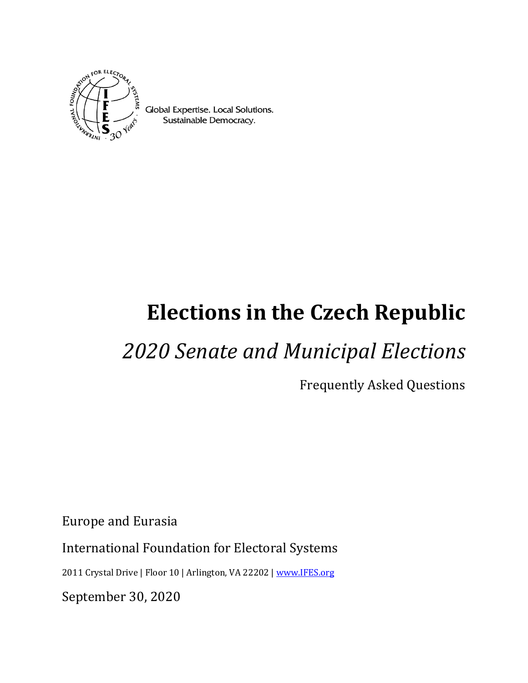

Global Expertise. Local Solutions. Sustainable Democracy.

# **Elections in the Czech Republic**

## *2020 Senate and Municipal Elections*

Frequently Asked Questions

Europe and Eurasia

International Foundation for Electoral Systems

2011 Crystal Drive | Floor 10 | Arlington, VA 22202 [| www.IFES.org](file:///C:/Users/max/AppData/Local/Microsoft/Windows/INetCache/Content.Outlook/T1YQVVPB/www.IFES.org)

September 30, 2020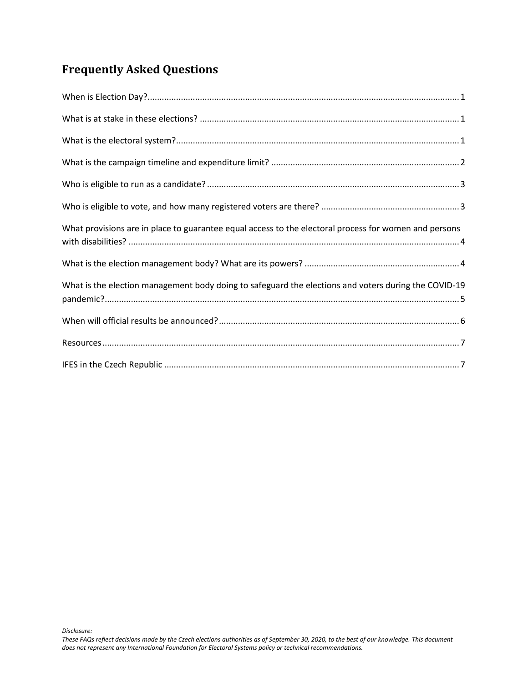### **Frequently Asked Questions**

| What provisions are in place to guarantee equal access to the electoral process for women and persons |
|-------------------------------------------------------------------------------------------------------|
|                                                                                                       |
| What is the election management body doing to safeguard the elections and voters during the COVID-19  |
|                                                                                                       |
|                                                                                                       |
|                                                                                                       |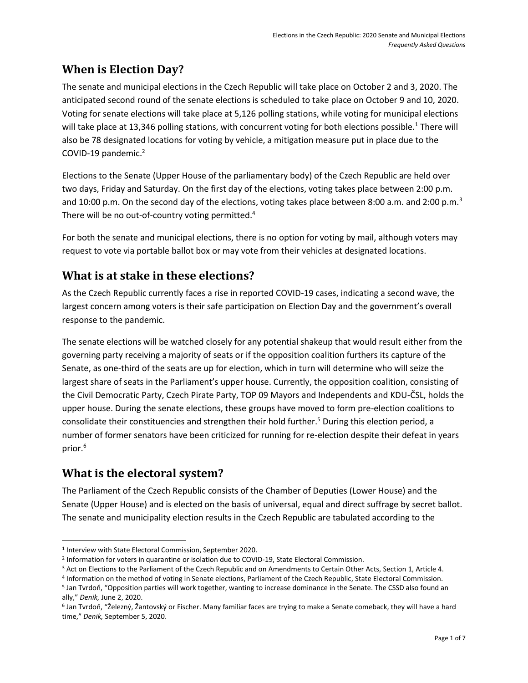#### <span id="page-2-0"></span>**When is Election Day?**

The senate and municipal elections in the Czech Republic will take place on October 2 and 3, 2020. The anticipated second round of the senate elections is scheduled to take place on October 9 and 10, 2020. Voting for senate elections will take place at 5,126 polling stations, while voting for municipal elections will take place at 13,346 polling stations, with concurrent voting for both elections possible.<sup>1</sup> There will also be 78 designated locations for voting by vehicle, a mitigation measure put in place due to the COVID-19 pandemic.<sup>2</sup>

Elections to the Senate (Upper House of the parliamentary body) of the Czech Republic are held over two days, Friday and Saturday. On the first day of the elections, voting takes place between 2:00 p.m. and 10:00 p.m. On the second day of the elections, voting takes place between 8:00 a.m. and 2:00 p.m.<sup>3</sup> There will be no out-of-country voting permitted.<sup>4</sup>

For both the senate and municipal elections, there is no option for voting by mail, although voters may request to vote via portable ballot box or may vote from their vehicles at designated locations.

#### <span id="page-2-1"></span>**What is at stake in these elections?**

As the Czech Republic currently faces a rise in reported COVID-19 cases, indicating a second wave, the largest concern among voters is their safe participation on Election Day and the government's overall response to the pandemic.

The senate elections will be watched closely for any potential shakeup that would result either from the governing party receiving a majority of seats or if the opposition coalition furthers its capture of the Senate, as one-third of the seats are up for election, which in turn will determine who will seize the largest share of seats in the Parliament's upper house. Currently, the opposition coalition, consisting of the Civil Democratic Party, Czech Pirate Party, TOP 09 Mayors and Independents and KDU-ČSL, holds the upper house. During the senate elections, these groups have moved to form pre-election coalitions to consolidate their constituencies and strengthen their hold further.<sup>5</sup> During this election period, a number of former senators have been criticized for running for re-election despite their defeat in years prior.<sup>6</sup>

#### <span id="page-2-2"></span>**What is the electoral system?**

The Parliament of the Czech Republic consists of the Chamber of Deputies (Lower House) and the Senate (Upper House) and is elected on the basis of universal, equal and direct suffrage by secret ballot. The senate and municipality election results in the Czech Republic are tabulated according to the

l 1 Interview with State Electoral Commission, September 2020.

<sup>2</sup> Information for voters in quarantine or isolation due to COVID-19, State Electoral Commission.

<sup>&</sup>lt;sup>3</sup> [Act on Elections to the Parliament of the Czech Republic and on Amendments to Certain Other Acts,](https://www.senat.cz/xqw/xervlet/pssenat/webNahled?id_doc=95964&id_var=80471) Section 1, Article 4.

<sup>4</sup> Information on the method of voting in Senate elections, Parliament of the Czech Republic, State Electoral Commission.

<sup>5</sup> Jan Tvrdoň, "Opposition parties will work together, wanting to increase dominance in the Senate. The CSSD also found an ally," *Denik,* June 2, 2020.

<sup>6</sup> Jan Tvrdoň, "Železný, Žantovský or Fischer. Many familiar faces are trying to make a Senate comeback, they will have a hard time," *Denik,* September 5, 2020.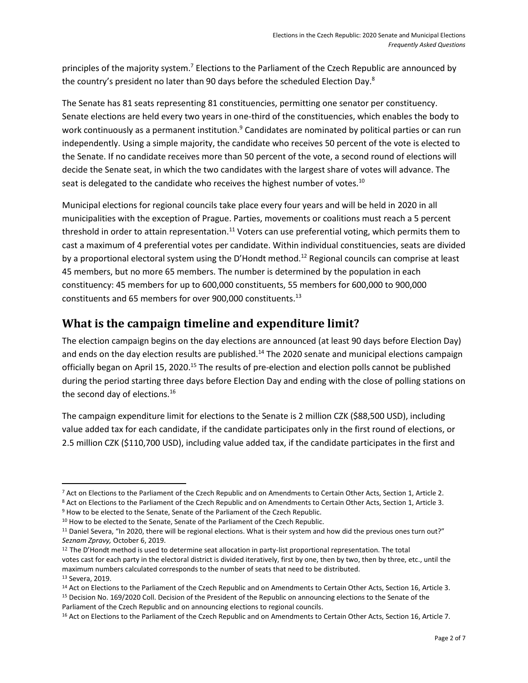principles of the majority system.<sup>7</sup> Elections to the Parliament of the Czech Republic are announced by the country's president no later than 90 days before the scheduled Election Day.<sup>8</sup>

The Senate has 81 seats representing 81 constituencies, permitting one senator per constituency. Senate elections are held every two years in one-third of the constituencies, which enables the body to work continuously as a permanent institution.<sup>9</sup> Candidates are nominated by political parties or can run independently. Using a simple majority, the candidate who receives 50 percent of the vote is elected to the Senate. If no candidate receives more than 50 percent of the vote, a second round of elections will decide the Senate seat, in which the two candidates with the largest share of votes will advance. The seat is delegated to the candidate who receives the highest number of votes.<sup>10</sup>

Municipal elections for regional councils take place every four years and will be held in 2020 in all municipalities with the exception of Prague. Parties, movements or coalitions must reach a 5 percent threshold in order to attain representation.<sup>11</sup> Voters can use preferential voting, which permits them to cast a maximum of 4 preferential votes per candidate. Within individual constituencies, seats are divided by a proportional electoral system using the D'Hondt method.<sup>12</sup> Regional councils can comprise at least 45 members, but no more 65 members. The number is determined by the population in each constituency: 45 members for up to 600,000 constituents, 55 members for 600,000 to 900,000 constituents and 65 members for over 900,000 constituents.<sup>13</sup>

#### <span id="page-3-0"></span>**What is the campaign timeline and expenditure limit?**

The election campaign begins on the day elections are announced (at least 90 days before Election Day) and ends on the day election results are published.<sup>14</sup> The 2020 senate and municipal elections campaign officially began on April 15, 2020.<sup>15</sup> The results of pre-election and election polls cannot be published during the period starting three days before Election Day and ending with the close of polling stations on the second day of elections.<sup>16</sup>

The campaign expenditure limit for elections to the Senate is 2 million CZK (\$88,500 USD), including value added tax for each candidate, if the candidate participates only in the first round of elections, or 2.5 million CZK (\$110,700 USD), including value added tax, if the candidate participates in the first and

l <sup>7</sup> [Act on Elections to the Parliament of the Czech Republic and on Amendments to Certain Other Acts,](https://www.senat.cz/xqw/xervlet/pssenat/webNahled?id_doc=95964&id_var=80471) Section 1, Article 2.

<sup>8</sup> [Act on Elections to the Parliament of the Czech Republic and on Amendments to Certain Other Acts,](https://www.senat.cz/xqw/xervlet/pssenat/webNahled?id_doc=95964&id_var=80471) Section 1, Article 3. <sup>9</sup> How to be elected to the Senate, Senate of the Parliament of the Czech Republic.

<sup>&</sup>lt;sup>10</sup> How to be elected to the Senate, Senate of the Parliament of the Czech Republic.

<sup>&</sup>lt;sup>11</sup> Daniel Severa, "In 2020, there will be regional elections. What is their system and how did the previous ones turn out?" *Seznam Zpravy,* October 6, 2019.

<sup>&</sup>lt;sup>12</sup> The D'Hondt method is used to determine seat allocation in party-list proportional representation. The total votes cast for each party in the electoral district is divided iteratively, first by one, then by two, then by three, etc., until the maximum numbers calculated corresponds to the number of seats that need to be distributed. <sup>13</sup> Severa, 2019.

<sup>&</sup>lt;sup>14</sup> Act on Elections to the Parliament of the Czech Republic and on Amendments to Certain Other Acts, Section 16, Article 3. <sup>15</sup> Decision No. 169/2020 Coll. Decision of the President of the Republic on announcing elections to the Senate of the Parliament of the Czech Republic and on announcing elections to regional councils.

<sup>&</sup>lt;sup>16</sup> Act on Elections to the Parliament of the Czech Republic and on Amendments to Certain Other Acts, Section 16, Article 7.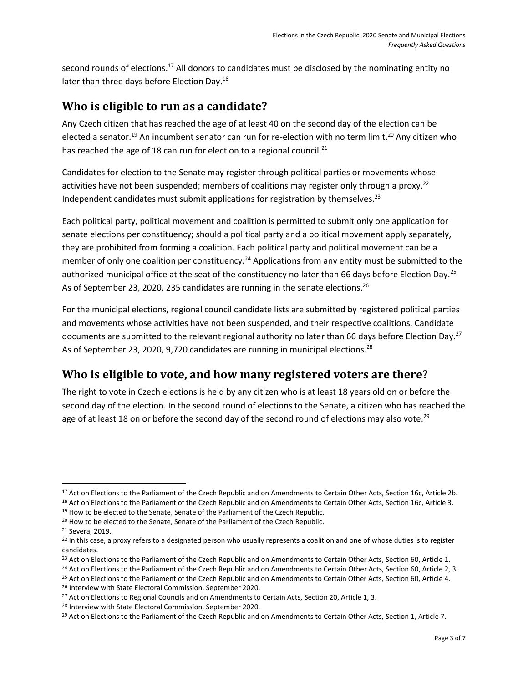second rounds of elections.<sup>17</sup> All donors to candidates must be disclosed by the nominating entity no later than three days before Election Day.<sup>18</sup>

#### <span id="page-4-0"></span>**Who is eligible to run as a candidate?**

Any Czech citizen that has reached the age of at least 40 on the second day of the election can be elected a senator.<sup>19</sup> An incumbent senator can run for re-election with no term limit.<sup>20</sup> Any citizen who has reached the age of 18 can run for election to a regional council.<sup>21</sup>

Candidates for election to the Senate may register through political parties or movements whose activities have not been suspended; members of coalitions may register only through a proxy.<sup>22</sup> Independent candidates must submit applications for registration by themselves.<sup>23</sup>

Each political party, political movement and coalition is permitted to submit only one application for senate elections per constituency; should a political party and a political movement apply separately, they are prohibited from forming a coalition. Each political party and political movement can be a member of only one coalition per constituency.<sup>24</sup> Applications from any entity must be submitted to the authorized municipal office at the seat of the constituency no later than 66 days before Election Day.<sup>25</sup> As of September 23, 2020, 235 candidates are running in the senate elections.<sup>26</sup>

For the municipal elections, regional council candidate lists are submitted by registered political parties and movements whose activities have not been suspended, and their respective coalitions. Candidate documents are submitted to the relevant regional authority no later than 66 days before Election Day.<sup>27</sup> As of September 23, 2020, 9,720 candidates are running in municipal elections.<sup>28</sup>

#### <span id="page-4-1"></span>**Who is eligible to vote, and how many registered voters are there?**

The right to vote in Czech elections is held by any citizen who is at least 18 years old on or before the second day of the election. In the second round of elections to the Senate, a citizen who has reached the age of at least 18 on or before the second day of the second round of elections may also vote.<sup>29</sup>

l

<sup>&</sup>lt;sup>17</sup> Act on Elections to the Parliament of the Czech Republic and on Amendments to Certain Other Acts, Section 16c, Article 2b. <sup>18</sup> Act on Elections to the Parliament of the Czech Republic and on Amendments to Certain Other Acts, Section 16c, Article 3.

<sup>&</sup>lt;sup>19</sup> How to be elected to the Senate, Senate of the Parliament of the Czech Republic.

<sup>&</sup>lt;sup>20</sup> How to be elected to the Senate, Senate of the Parliament of the Czech Republic.

<sup>21</sup> Severa, 2019.

<sup>&</sup>lt;sup>22</sup> In this case, a proxy refers to a designated person who usually represents a coalition and one of whose duties is to register candidates.

<sup>&</sup>lt;sup>23</sup> [Act on Elections to the Parliament of the Czech Republic and on Amendments to Certain Other Acts,](https://www.senat.cz/xqw/xervlet/pssenat/webNahled?id_doc=95964&id_var=80471) Section 60, Article 1.

<sup>&</sup>lt;sup>24</sup> [Act on Elections to the Parliament of the Czech Republic and on Amendments to Certain Other Acts,](https://www.senat.cz/xqw/xervlet/pssenat/webNahled?id_doc=95964&id_var=80471) Section 60, Article 2, 3.

<sup>&</sup>lt;sup>25</sup> [Act on Elections to the Parliament of the Czech Republic and on Amendments to Certain Other Acts,](https://www.senat.cz/xqw/xervlet/pssenat/webNahled?id_doc=95964&id_var=80471) Section 60, Article 4.

<sup>26</sup> Interview with State Electoral Commission, September 2020.

<sup>&</sup>lt;sup>27</sup> Act on Elections to Regional Councils and on Amendments to Certain Acts, Section 20, Article 1, 3.

<sup>28</sup> Interview with State Electoral Commission, September 2020.

<sup>&</sup>lt;sup>29</sup> [Act on Elections to the Parliament of the Czech Republic and on Amendments to Certain Other Acts,](https://www.senat.cz/xqw/xervlet/pssenat/webNahled?id_doc=95964&id_var=80471) Section 1, Article 7.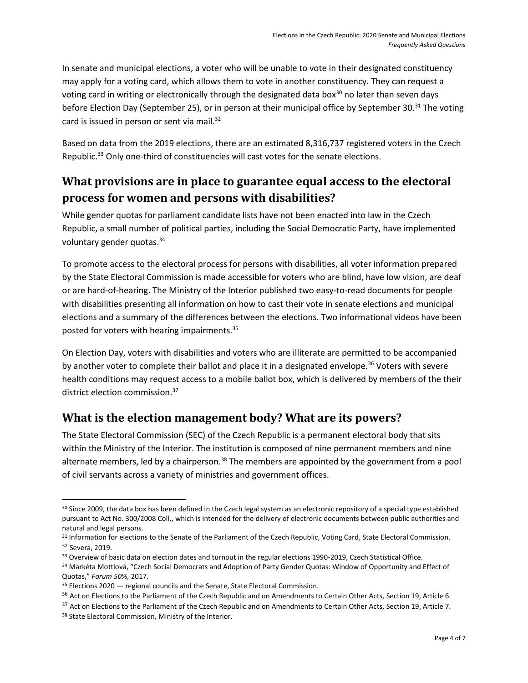In senate and municipal elections, a voter who will be unable to vote in their designated constituency may apply for a voting card, which allows them to vote in another constituency. They can request a voting card in writing or electronically through the designated data box<sup>30</sup> no later than seven days before Election Day (September 25), or in person at their municipal office by September 30.<sup>31</sup> The voting card is issued in person or sent via mail.<sup>32</sup>

Based on data from the 2019 elections, there are an estimated 8,316,737 registered voters in the Czech Republic.<sup>33</sup> Only one-third of constituencies will cast votes for the senate elections.

#### <span id="page-5-0"></span>**What provisions are in place to guarantee equal access to the electoral process for women and persons with disabilities?**

While gender quotas for parliament candidate lists have not been enacted into law in the Czech Republic, a small number of political parties, including the Social Democratic Party, have implemented voluntary gender quotas.<sup>34</sup>

To promote access to the electoral process for persons with disabilities, all voter information prepared by the State Electoral Commission is made accessible for voters who are blind, have low vision, are deaf or are hard-of-hearing. The Ministry of the Interior published two easy-to-read documents for people with disabilities presenting all information on how to cast their vote in senate elections and municipal elections and a summary of the differences between the elections. Two informational videos have been posted for voters with hearing impairments.<sup>35</sup>

On Election Day, voters with disabilities and voters who are illiterate are permitted to be accompanied by another voter to complete their ballot and place it in a designated envelope.<sup>36</sup> Voters with severe health conditions may request access to a mobile ballot box, which is delivered by members of the their district election commission.<sup>37</sup>

#### <span id="page-5-1"></span>**What is the election management body? What are its powers?**

The State Electoral Commission (SEC) of the Czech Republic is a permanent electoral body that sits within the Ministry of the Interior. The institution is composed of nine permanent members and nine alternate members, led by a chairperson.<sup>38</sup> The members are appointed by the government from a pool of civil servants across a variety of ministries and government offices.

l

<sup>&</sup>lt;sup>30</sup> Since 2009, the data box has been defined in the Czech legal system as an electronic repository of a special type established pursuant to Act No. 300/2008 Coll., which is intended for the delivery of electronic documents between public authorities and natural and legal persons.

<sup>31</sup> Information for elections to the Senate of the Parliament of the Czech Republic, Voting Card, State Electoral Commission. <sup>32</sup> Severa, 2019.

<sup>33</sup> Overview of basic data on election dates and turnout in the regular elections 1990-2019, Czech Statistical Office.

<sup>34</sup> Markéta Mottlová, "Czech Social Democrats and Adoption of Party Gender Quotas: Window of Opportunity and Effect of Quotas," *Forum 50%,* 2017*.*

<sup>35</sup> Elections 2020 — regional councils and the Senate, State Electoral Commission.

<sup>&</sup>lt;sup>36</sup> [Act on Elections to the Parliament of the Czech Republic and on Amendments to Certain Other Acts,](https://www.senat.cz/xqw/xervlet/pssenat/webNahled?id_doc=95964&id_var=80471) Section 19, Article 6.

<sup>&</sup>lt;sup>37</sup> [Act on Elections to the Parliament of the Czech Republic and on Amendments to Certain Other Acts,](https://www.senat.cz/xqw/xervlet/pssenat/webNahled?id_doc=95964&id_var=80471) Section 19, Article 7. 38 State Electoral Commission, Ministry of the Interior.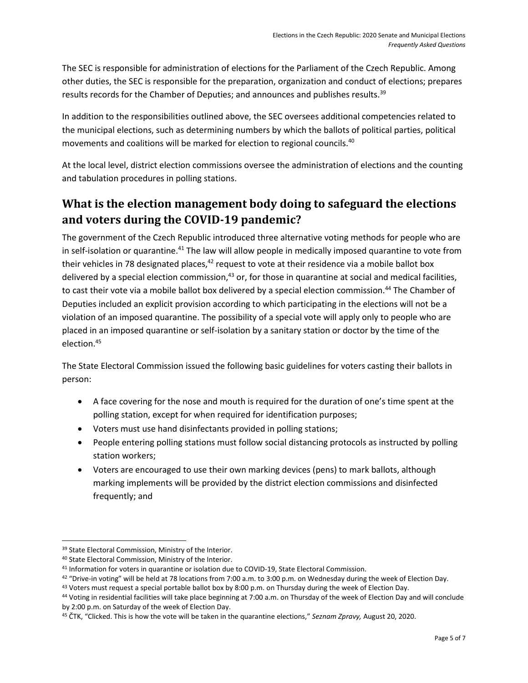The SEC is responsible for administration of elections for the Parliament of the Czech Republic. Among other duties, the SEC is responsible for the preparation, organization and conduct of elections; prepares results records for the Chamber of Deputies; and announces and publishes results.<sup>39</sup>

In addition to the responsibilities outlined above, the SEC oversees additional competencies related to the municipal elections, such as determining numbers by which the ballots of political parties, political movements and coalitions will be marked for election to regional councils.<sup>40</sup>

At the local level, district election commissions oversee the administration of elections and the counting and tabulation procedures in polling stations.

### <span id="page-6-0"></span>**What is the election management body doing to safeguard the elections and voters during the COVID-19 pandemic?**

The government of the Czech Republic introduced three alternative voting methods for people who are in self-isolation or quarantine.<sup>41</sup> The law will allow people in medically imposed quarantine to vote from their vehicles in 78 designated places, $42$  request to vote at their residence via a mobile ballot box delivered by a special election commission, $43$  or, for those in quarantine at social and medical facilities, to cast their vote via a mobile ballot box delivered by a special election commission.<sup>44</sup> The Chamber of Deputies included an explicit provision according to which participating in the elections will not be a violation of an imposed quarantine. The possibility of a special vote will apply only to people who are placed in an imposed quarantine or self-isolation by a sanitary station or doctor by the time of the election.<sup>45</sup>

The State Electoral Commission issued the following basic guidelines for voters casting their ballots in person:

- A face covering for the nose and mouth is required for the duration of one's time spent at the polling station, except for when required for identification purposes;
- Voters must use hand disinfectants provided in polling stations;
- People entering polling stations must follow social distancing protocols as instructed by polling station workers;
- Voters are encouraged to use their own marking devices (pens) to mark ballots, although marking implements will be provided by the district election commissions and disinfected frequently; and

l

<sup>39</sup> State Electoral Commission, Ministry of the Interior.

<sup>40</sup> State Electoral Commission, Ministry of the Interior.

<sup>41</sup> Information for voters in quarantine or isolation due to COVID-19, State Electoral Commission.

 $42$  "Drive-in voting" will be held at 78 locations from 7:00 a.m. to 3:00 p.m. on Wednesday during the week of Election Day.

<sup>43</sup> Voters must request a special portable ballot box by 8:00 p.m. on Thursday during the week of Election Day.

<sup>44</sup> Voting in residential facilities will take place beginning at 7:00 a.m. on Thursday of the week of Election Day and will conclude by 2:00 p.m. on Saturday of the week of Election Day.

<sup>45</sup> ČTK, "Clicked. This is how the vote will be taken in the quarantine elections," *Seznam Zpravy,* August 20, 2020.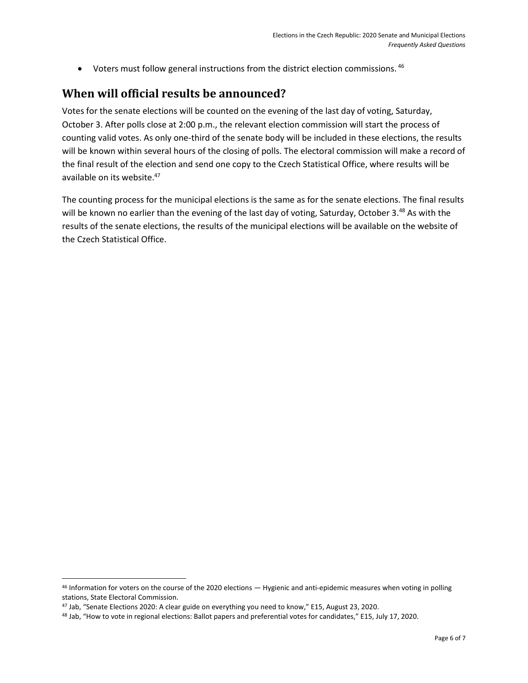• Voters must follow general instructions from the district election commissions. 46

#### <span id="page-7-0"></span>**When will official results be announced?**

Votes for the senate elections will be counted on the evening of the last day of voting, Saturday, October 3. After polls close at 2:00 p.m., the relevant election commission will start the process of counting valid votes. As only one-third of the senate body will be included in these elections, the results will be known within several hours of the closing of polls. The electoral commission will make a record of the final result of the election and send one copy to the Czech Statistical Office, where results will be available on its website.<sup>47</sup>

The counting process for the municipal elections is the same as for the senate elections. The final results will be known no earlier than the evening of the last day of voting, Saturday, October 3.<sup>48</sup> As with the results of the senate elections, the results of the municipal elections will be available on the website of the Czech Statistical Office.

 $\overline{\phantom{a}}$ 

<sup>46</sup> Information for voters on the course of the 2020 elections — Hygienic and anti-epidemic measures when voting in polling stations, State Electoral Commission.

<sup>47</sup> Jab, "Senate Elections 2020: A clear guide on everything you need to know," E15, August 23, 2020.

<sup>48</sup> Jab, "How to vote in regional elections: Ballot papers and preferential votes for candidates," E15, July 17, 2020.